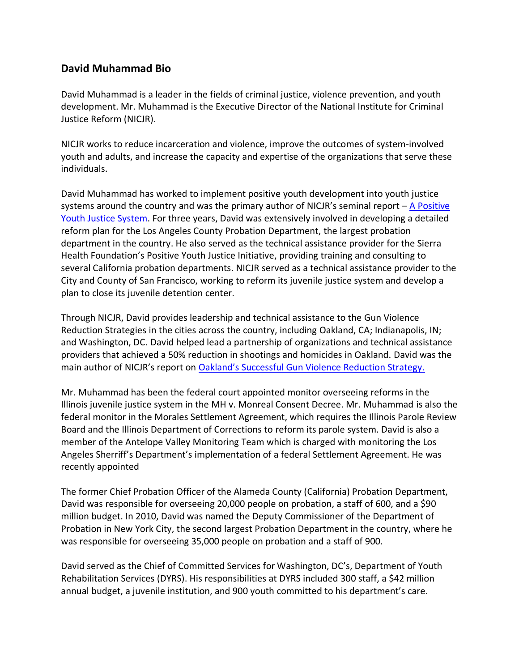## **David Muhammad Bio**

David Muhammad is a leader in the fields of criminal justice, violence prevention, and youth development. Mr. Muhammad is the Executive Director of the National Institute for Criminal Justice Reform (NICJR).

NICJR works to reduce incarceration and violence, improve the outcomes of system-involved youth and adults, and increase the capacity and expertise of the organizations that serve these individuals.

David Muhammad has worked to implement positive youth development into youth justice systems around the country and was the primary author of NICJR's seminal report – [A Positive](https://nicjr.org/pyjs/)  [Youth Justice System.](https://nicjr.org/pyjs/) For three years, David was extensively involved in developing a detailed reform plan for the Los Angeles County Probation Department, the largest probation department in the country. He also served as the technical assistance provider for the Sierra Health Foundation's Positive Youth Justice Initiative, providing training and consulting to several California probation departments. NICJR served as a technical assistance provider to the City and County of San Francisco, working to reform its juvenile justice system and develop a plan to close its juvenile detention center.

Through NICJR, David provides leadership and technical assistance to the Gun Violence Reduction Strategies in the cities across the country, including Oakland, CA; Indianapolis, IN; and Washington, DC. David helped lead a partnership of organizations and technical assistance providers that achieved a 50% reduction in shootings and homicides in Oakland. David was the main author of NICJR's report on [Oakland's Successful Gun Violence Reduction Strategy.](https://nicjr.org/wp-content/uploads/2018/02/Oakland%E2%80%99s-Successful-Gun-Violence-Reduction-Strategy-NICJR-Jan-2018.pdf)

Mr. Muhammad has been the federal court appointed monitor overseeing reforms in the Illinois juvenile justice system in the MH v. Monreal Consent Decree. Mr. Muhammad is also the federal monitor in the Morales Settlement Agreement, which requires the Illinois Parole Review Board and the Illinois Department of Corrections to reform its parole system. David is also a member of the Antelope Valley Monitoring Team which is charged with monitoring the Los Angeles Sherriff's Department's implementation of a federal Settlement Agreement. He was recently appointed

The former Chief Probation Officer of the Alameda County (California) Probation Department, David was responsible for overseeing 20,000 people on probation, a staff of 600, and a \$90 million budget. In 2010, David was named the Deputy Commissioner of the Department of Probation in New York City, the second largest Probation Department in the country, where he was responsible for overseeing 35,000 people on probation and a staff of 900.

David served as the Chief of Committed Services for Washington, DC's, Department of Youth Rehabilitation Services (DYRS). His responsibilities at DYRS included 300 staff, a \$42 million annual budget, a juvenile institution, and 900 youth committed to his department's care.